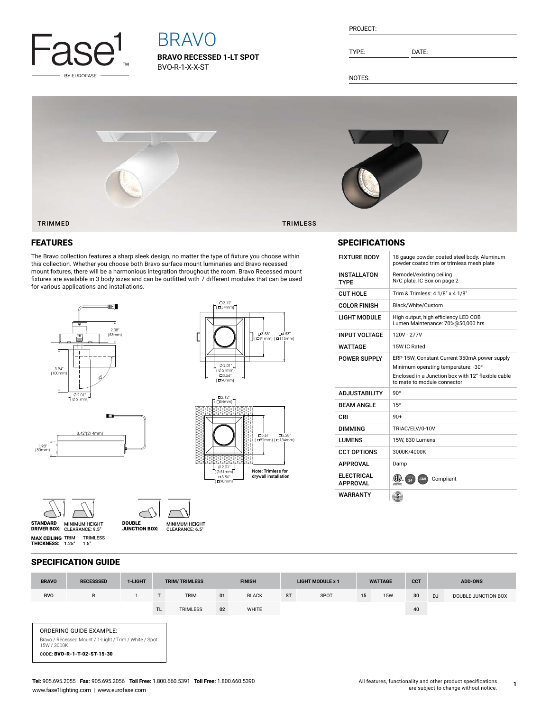

# BRAVO

**BRAVO RECESSED 1-LT SPOT** BVO-R-1-X-X-ST

| PROJECT: |  |
|----------|--|
|          |  |
|          |  |

TYPE: DATE:

NOTES:



## FEATURES

The Bravo collection features a sharp sleek design, no matter the type of fixture you choose within this collection. Whether you choose both Bravo surface mount luminaries and Bravo recessed mount fixtures, there will be a harmonious integration throughout the room. Bravo Recessed mount fixtures are available in 3 body sizes and can be outfitted with 7 different modules that can be used for various applications and installations.

 $\prime$ 





## SPECIFICATIONS

| <b>FIXTURE BODY</b>                  | 18 gauge powder coated steel body. Aluminum<br>powder coated trim or trimless mesh plate                                                                                 |
|--------------------------------------|--------------------------------------------------------------------------------------------------------------------------------------------------------------------------|
| <b>INSTALLATON</b><br><b>TYPF</b>    | Remodel/existing ceiling<br>N/C plate, IC Box on page 2                                                                                                                  |
| <b>CUT HOLE</b>                      | Trim & Trimless: 4 1/8" x 4 1/8"                                                                                                                                         |
| <b>COLOR FINISH</b>                  | Black/White/Custom                                                                                                                                                       |
| <b>LIGHT MODULE</b>                  | High output, high efficiency LED COB<br>Lumen Maintenance: 70%@50,000 hrs                                                                                                |
| <b>INPUT VOLTAGE</b>                 | 120V - 277V                                                                                                                                                              |
| WATTAGF                              | 15W IC Rated                                                                                                                                                             |
| <b>POWER SUPPLY</b>                  | ERP 15W, Constant Current 350mA power supply<br>Minimum operating temperature: -30°<br>Enclosed in a Junction box with 12" flexible cable<br>to mate to module connector |
| <b>ADJUSTABILITY</b>                 | $90^{\circ}$                                                                                                                                                             |
| <b>BEAM ANGLE</b>                    | 15°                                                                                                                                                                      |
| CRI                                  | $90+$                                                                                                                                                                    |
| <b>DIMMING</b>                       | TRIAC/ELV/0-10V                                                                                                                                                          |
| <b>I UMFNS</b>                       | 15W. 830 Lumens                                                                                                                                                          |
| <b>CCT OPTIONS</b>                   | 3000K/4000K                                                                                                                                                              |
| <b>APPROVAL</b>                      | Damp                                                                                                                                                                     |
| <b>ELECTRICAL</b><br><b>APPROVAL</b> | JA8<br>Compliant<br>Intertek                                                                                                                                             |
| WARRANTY                             | ĝ.                                                                                                                                                                       |

SPECIFICATION GUIDE

TRIMLESS 1.5"

DRIVER BOX: MINIMUM HEIGHT CLEARANCE: 6.5" DOUBLE JUNCTION BOX:

STANDARD MINIMUM HEIGHT<br>DRIVER BOX: CLEARANCE: 9.5"

**MAX CEILING** TRIM<br>**THICKNESS:** 1.25"

| <b>BRAVO</b>                                                                                                                    | <b>RECESSSED</b> | 1-LIGHT |     | <b>TRIM/TRIMLESS</b> | <b>FINISH</b> |              | <b>LIGHT MODULE x 1</b> |      | <b>WATTAGE</b> |            | <b>CCT</b> | <b>ADD-ONS</b> |                     |
|---------------------------------------------------------------------------------------------------------------------------------|------------------|---------|-----|----------------------|---------------|--------------|-------------------------|------|----------------|------------|------------|----------------|---------------------|
| <b>BVO</b>                                                                                                                      | R                | 1       | T   | <b>TRIM</b>          | 01            | <b>BLACK</b> | <b>ST</b>               | SPOT | 15             | <b>15W</b> | 30         | <b>DJ</b>      | DOUBLE JUNCTION BOX |
|                                                                                                                                 |                  |         | TL. | <b>TRIMLESS</b>      | 02            | WHITE        |                         |      |                |            | 40         |                |                     |
| ORDERING GUIDE EXAMPLE:<br>Bravo / Recessed Mount / 1-Light / Trim / White / Spot<br>15W / 3000K<br>CODE: BVO-R-1-T-02-ST-15-30 |                  |         |     |                      |               |              |                         |      |                |            |            |                |                     |

**1**